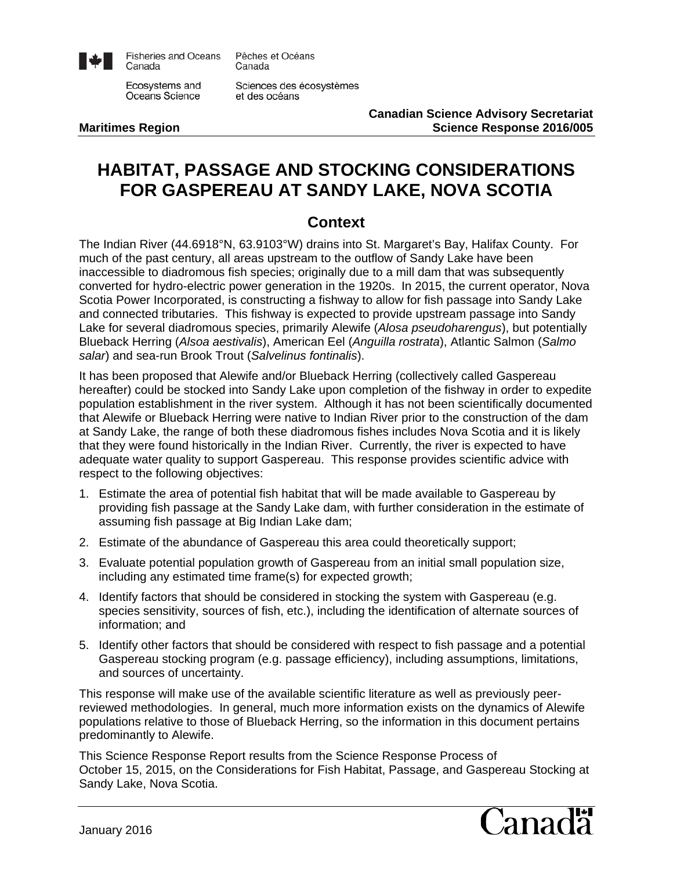

**Fisheries and Oceans** Canada

Ecosystems and Oceans Science

Pêches et Océans Canada

Sciences des écosystèmes et des océans

**Canadian Science Advisory Secretariat Maritimes Region Science Response 2016/005**

# **HABITAT, PASSAGE AND STOCKING CONSIDERATIONS FOR GASPEREAU AT SANDY LAKE, NOVA SCOTIA**

# **Context**

The Indian River (44.6918°N, 63.9103°W) drains into St. Margaret's Bay, Halifax County. For much of the past century, all areas upstream to the outflow of Sandy Lake have been inaccessible to diadromous fish species; originally due to a mill dam that was subsequently converted for hydro-electric power generation in the 1920s. In 2015, the current operator, Nova Scotia Power Incorporated, is constructing a fishway to allow for fish passage into Sandy Lake and connected tributaries. This fishway is expected to provide upstream passage into Sandy Lake for several diadromous species, primarily Alewife (*Alosa pseudoharengus*), but potentially Blueback Herring (*Alsoa aestivalis*), American Eel (*Anguilla rostrata*), Atlantic Salmon (*Salmo salar*) and sea-run Brook Trout (*Salvelinus fontinalis*).

It has been proposed that Alewife and/or Blueback Herring (collectively called Gaspereau hereafter) could be stocked into Sandy Lake upon completion of the fishway in order to expedite population establishment in the river system. Although it has not been scientifically documented that Alewife or Blueback Herring were native to Indian River prior to the construction of the dam at Sandy Lake, the range of both these diadromous fishes includes Nova Scotia and it is likely that they were found historically in the Indian River. Currently, the river is expected to have adequate water quality to support Gaspereau. This response provides scientific advice with respect to the following objectives:

- 1. Estimate the area of potential fish habitat that will be made available to Gaspereau by providing fish passage at the Sandy Lake dam, with further consideration in the estimate of assuming fish passage at Big Indian Lake dam;
- 2. Estimate of the abundance of Gaspereau this area could theoretically support;
- 3. Evaluate potential population growth of Gaspereau from an initial small population size, including any estimated time frame(s) for expected growth;
- 4. Identify factors that should be considered in stocking the system with Gaspereau (e.g. species sensitivity, sources of fish, etc.), including the identification of alternate sources of information; and
- 5. Identify other factors that should be considered with respect to fish passage and a potential Gaspereau stocking program (e.g. passage efficiency), including assumptions, limitations, and sources of uncertainty.

This response will make use of the available scientific literature as well as previously peerreviewed methodologies. In general, much more information exists on the dynamics of Alewife populations relative to those of Blueback Herring, so the information in this document pertains predominantly to Alewife.

This Science Response Report results from the Science Response Process of October 15, 2015, on the Considerations for Fish Habitat, Passage, and Gaspereau Stocking at Sandy Lake, Nova Scotia.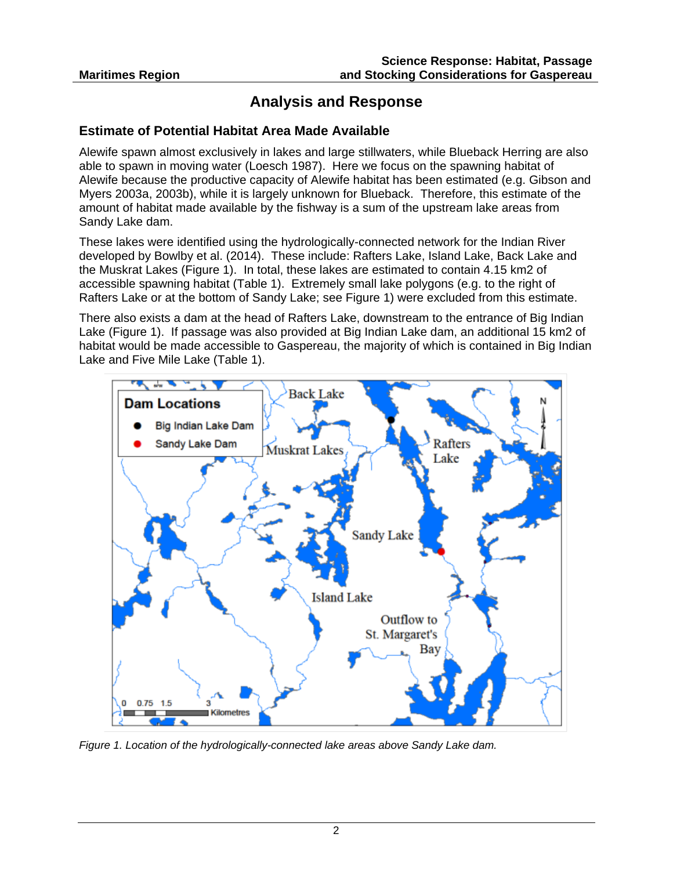# **Analysis and Response**

#### **Estimate of Potential Habitat Area Made Available**

Alewife spawn almost exclusively in lakes and large stillwaters, while Blueback Herring are also able to spawn in moving water (Loesch 1987). Here we focus on the spawning habitat of Alewife because the productive capacity of Alewife habitat has been estimated (e.g. Gibson and Myers 2003a, 2003b), while it is largely unknown for Blueback. Therefore, this estimate of the amount of habitat made available by the fishway is a sum of the upstream lake areas from Sandy Lake dam.

These lakes were identified using the hydrologically-connected network for the Indian River developed by Bowlby et al. (2014). These include: Rafters Lake, Island Lake, Back Lake and the Muskrat Lakes (Figure 1). In total, these lakes are estimated to contain 4.15 km2 of accessible spawning habitat (Table 1). Extremely small lake polygons (e.g. to the right of Rafters Lake or at the bottom of Sandy Lake; see Figure 1) were excluded from this estimate.

There also exists a dam at the head of Rafters Lake, downstream to the entrance of Big Indian Lake (Figure 1). If passage was also provided at Big Indian Lake dam, an additional 15 km2 of habitat would be made accessible to Gaspereau, the majority of which is contained in Big Indian Lake and Five Mile Lake (Table 1).



*Figure 1. Location of the hydrologically-connected lake areas above Sandy Lake dam.*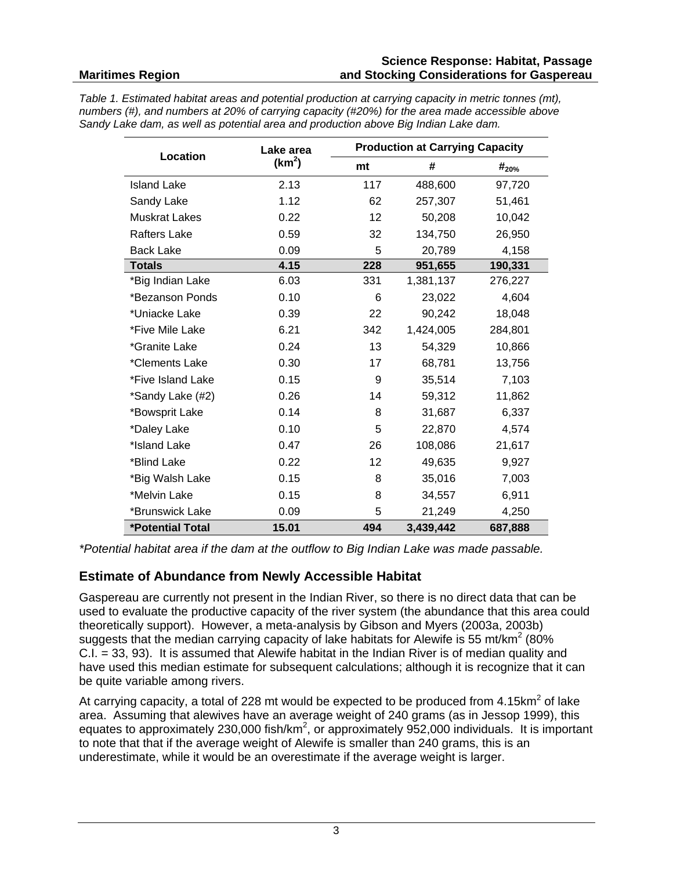#### **Science Response: Habitat, Passage and Stocking Considerations for Gaspereau**

*Table 1. Estimated habitat areas and potential production at carrying capacity in metric tonnes (mt), numbers (#), and numbers at 20% of carrying capacity (#20%) for the area made accessible above Sandy Lake dam, as well as potential area and production above Big Indian Lake dam.*

| Location                | Lake area<br>(km <sup>2</sup> ) | <b>Production at Carrying Capacity</b> |           |            |
|-------------------------|---------------------------------|----------------------------------------|-----------|------------|
|                         |                                 | mt                                     | #         | $#_{20\%}$ |
| <b>Island Lake</b>      | 2.13                            | 117                                    | 488,600   | 97,720     |
| Sandy Lake              | 1.12                            | 62                                     | 257,307   | 51,461     |
| <b>Muskrat Lakes</b>    | 0.22                            | 12 <sup>2</sup>                        | 50,208    | 10,042     |
| <b>Rafters Lake</b>     | 0.59                            | 32                                     | 134,750   | 26,950     |
| <b>Back Lake</b>        | 0.09                            | 5                                      | 20,789    | 4,158      |
| <b>Totals</b>           | 4.15                            | 228                                    | 951,655   | 190,331    |
| *Big Indian Lake        | 6.03                            | 331                                    | 1,381,137 | 276,227    |
| *Bezanson Ponds         | 0.10                            | 6                                      | 23,022    | 4,604      |
| *Uniacke Lake           | 0.39                            | 22                                     | 90,242    | 18,048     |
| *Five Mile Lake         | 6.21                            | 342                                    | 1,424,005 | 284,801    |
| *Granite Lake           | 0.24                            | 13                                     | 54,329    | 10,866     |
| *Clements Lake          | 0.30                            | 17                                     | 68,781    | 13,756     |
| *Five Island Lake       | 0.15                            | 9                                      | 35,514    | 7,103      |
| *Sandy Lake (#2)        | 0.26                            | 14                                     | 59,312    | 11,862     |
| *Bowsprit Lake          | 0.14                            | 8                                      | 31,687    | 6,337      |
| *Daley Lake             | 0.10                            | 5                                      | 22,870    | 4,574      |
| *Island Lake            | 0.47                            | 26                                     | 108,086   | 21,617     |
| *Blind Lake             | 0.22                            | 12                                     | 49,635    | 9,927      |
| *Big Walsh Lake         | 0.15                            | 8                                      | 35,016    | 7,003      |
| *Melvin Lake            | 0.15                            | 8                                      | 34,557    | 6,911      |
| *Brunswick Lake         | 0.09                            | 5                                      | 21,249    | 4,250      |
| <b>*Potential Total</b> | 15.01                           | 494                                    | 3,439,442 | 687,888    |

*\*Potential habitat area if the dam at the outflow to Big Indian Lake was made passable.*

## **Estimate of Abundance from Newly Accessible Habitat**

Gaspereau are currently not present in the Indian River, so there is no direct data that can be used to evaluate the productive capacity of the river system (the abundance that this area could theoretically support). However, a meta-analysis by Gibson and Myers (2003a, 2003b) suggests that the median carrying capacity of lake habitats for Alewife is 55 mt/km<sup>2</sup> (80%) C.I. = 33, 93). It is assumed that Alewife habitat in the Indian River is of median quality and have used this median estimate for subsequent calculations; although it is recognize that it can be quite variable among rivers.

At carrying capacity, a total of 228 mt would be expected to be produced from  $4.15 \text{km}^2$  of lake area. Assuming that alewives have an average weight of 240 grams (as in Jessop 1999), this equates to approximately 230,000 fish/km<sup>2</sup>, or approximately 952,000 individuals. It is important to note that that if the average weight of Alewife is smaller than 240 grams, this is an underestimate, while it would be an overestimate if the average weight is larger.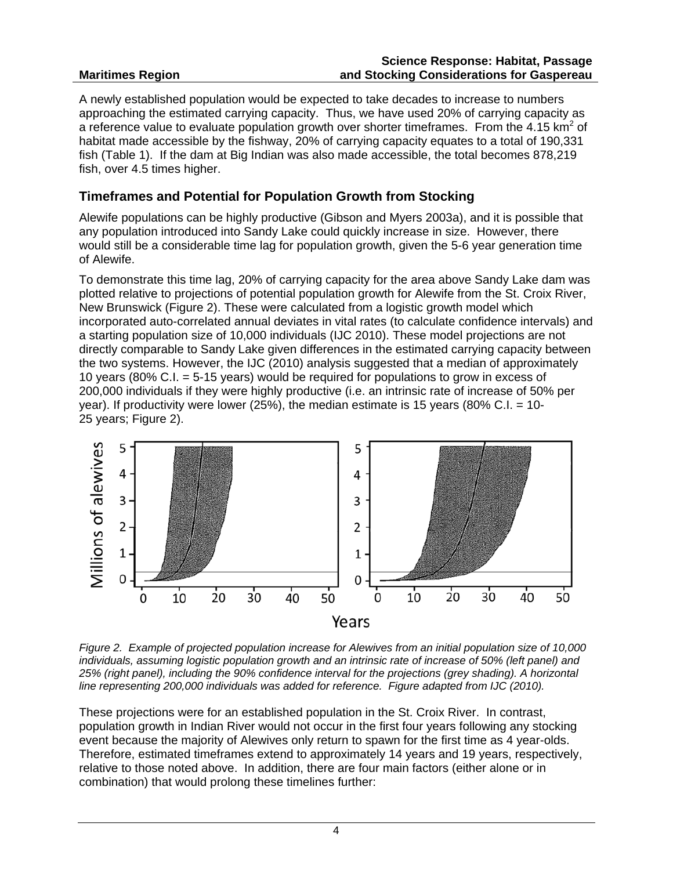#### **Maritimes Region Science Response: Habitat, Passage and Stocking Considerations for Gaspereau**

A newly established population would be expected to take decades to increase to numbers approaching the estimated carrying capacity. Thus, we have used 20% of carrying capacity as a reference value to evaluate population growth over shorter timeframes. From the 4.15 km<sup>2</sup> of habitat made accessible by the fishway, 20% of carrying capacity equates to a total of 190,331 fish (Table 1). If the dam at Big Indian was also made accessible, the total becomes 878,219 fish, over 4.5 times higher.

#### **Timeframes and Potential for Population Growth from Stocking**

Alewife populations can be highly productive (Gibson and Myers 2003a), and it is possible that any population introduced into Sandy Lake could quickly increase in size. However, there would still be a considerable time lag for population growth, given the 5-6 year generation time of Alewife.

To demonstrate this time lag, 20% of carrying capacity for the area above Sandy Lake dam was plotted relative to projections of potential population growth for Alewife from the St. Croix River, New Brunswick (Figure 2). These were calculated from a logistic growth model which incorporated auto-correlated annual deviates in vital rates (to calculate confidence intervals) and a starting population size of 10,000 individuals (IJC 2010). These model projections are not directly comparable to Sandy Lake given differences in the estimated carrying capacity between the two systems. However, the IJC (2010) analysis suggested that a median of approximately 10 years (80% C.I. = 5-15 years) would be required for populations to grow in excess of 200,000 individuals if they were highly productive (i.e. an intrinsic rate of increase of 50% per year). If productivity were lower (25%), the median estimate is 15 years (80% C.I. = 10- 25 years; Figure 2).



*Figure 2. Example of projected population increase for Alewives from an initial population size of 10,000 individuals, assuming logistic population growth and an intrinsic rate of increase of 50% (left panel) and 25% (right panel), including the 90% confidence interval for the projections (grey shading). A horizontal line representing 200,000 individuals was added for reference. Figure adapted from IJC (2010).*

These projections were for an established population in the St. Croix River. In contrast, population growth in Indian River would not occur in the first four years following any stocking event because the majority of Alewives only return to spawn for the first time as 4 year-olds. Therefore, estimated timeframes extend to approximately 14 years and 19 years, respectively, relative to those noted above. In addition, there are four main factors (either alone or in combination) that would prolong these timelines further: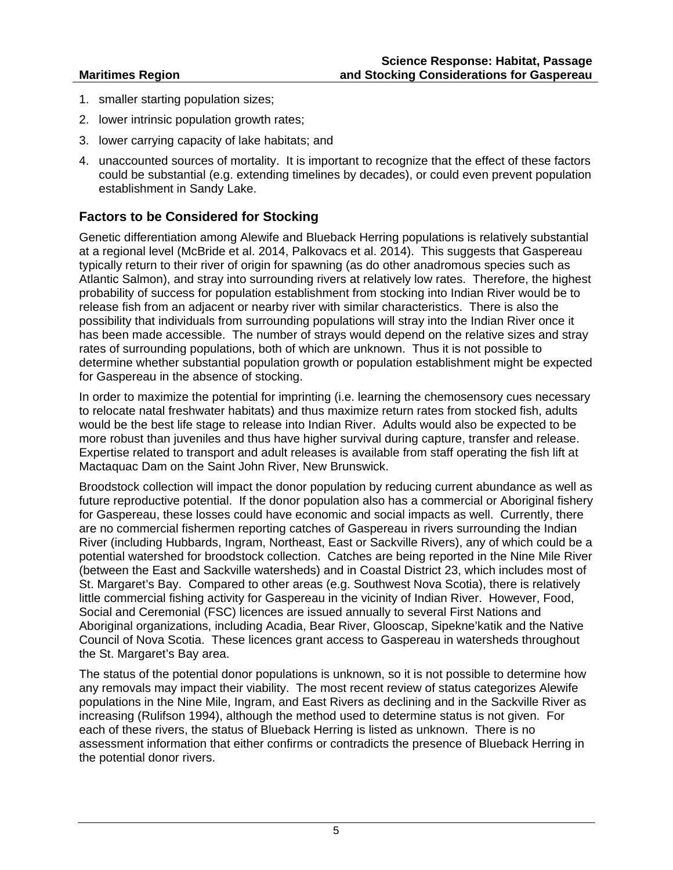- 1. smaller starting population sizes;
- 2. lower intrinsic population growth rates;
- 3. lower carrying capacity of lake habitats; and
- 4. unaccounted sources of mortality. It is important to recognize that the effect of these factors could be substantial (e.g. extending timelines by decades), or could even prevent population establishment in Sandy Lake.

## **Factors to be Considered for Stocking**

Genetic differentiation among Alewife and Blueback Herring populations is relatively substantial at a regional level (McBride et al. 2014, Palkovacs et al. 2014). This suggests that Gaspereau typically return to their river of origin for spawning (as do other anadromous species such as Atlantic Salmon), and stray into surrounding rivers at relatively low rates. Therefore, the highest probability of success for population establishment from stocking into Indian River would be to release fish from an adjacent or nearby river with similar characteristics. There is also the possibility that individuals from surrounding populations will stray into the Indian River once it has been made accessible. The number of strays would depend on the relative sizes and stray rates of surrounding populations, both of which are unknown. Thus it is not possible to determine whether substantial population growth or population establishment might be expected for Gaspereau in the absence of stocking.

In order to maximize the potential for imprinting (i.e. learning the chemosensory cues necessary to relocate natal freshwater habitats) and thus maximize return rates from stocked fish, adults would be the best life stage to release into Indian River. Adults would also be expected to be more robust than juveniles and thus have higher survival during capture, transfer and release. Expertise related to transport and adult releases is available from staff operating the fish lift at Mactaquac Dam on the Saint John River, New Brunswick.

Broodstock collection will impact the donor population by reducing current abundance as well as future reproductive potential. If the donor population also has a commercial or Aboriginal fishery for Gaspereau, these losses could have economic and social impacts as well. Currently, there are no commercial fishermen reporting catches of Gaspereau in rivers surrounding the Indian River (including Hubbards, Ingram, Northeast, East or Sackville Rivers), any of which could be a potential watershed for broodstock collection. Catches are being reported in the Nine Mile River (between the East and Sackville watersheds) and in Coastal District 23, which includes most of St. Margaret's Bay. Compared to other areas (e.g. Southwest Nova Scotia), there is relatively little commercial fishing activity for Gaspereau in the vicinity of Indian River. However, Food, Social and Ceremonial (FSC) licences are issued annually to several First Nations and Aboriginal organizations, including Acadia, Bear River, Glooscap, Sipekne'katik and the Native Council of Nova Scotia. These licences grant access to Gaspereau in watersheds throughout the St. Margaret's Bay area.

The status of the potential donor populations is unknown, so it is not possible to determine how any removals may impact their viability. The most recent review of status categorizes Alewife populations in the Nine Mile, Ingram, and East Rivers as declining and in the Sackville River as increasing (Rulifson 1994), although the method used to determine status is not given. For each of these rivers, the status of Blueback Herring is listed as unknown. There is no assessment information that either confirms or contradicts the presence of Blueback Herring in the potential donor rivers.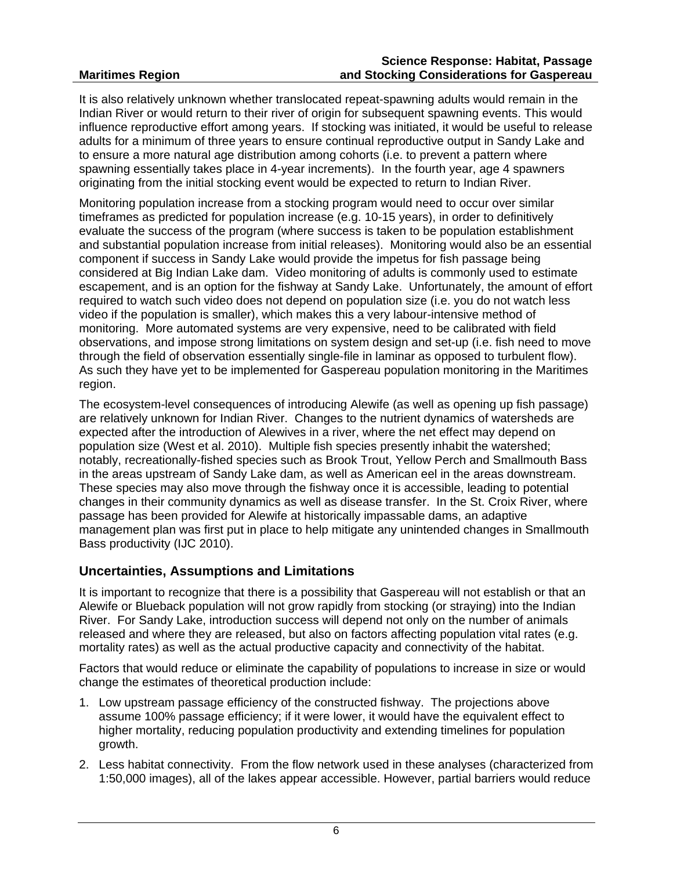#### **Science Response: Habitat, Passage and Stocking Considerations for Gaspereau**

It is also relatively unknown whether translocated repeat-spawning adults would remain in the Indian River or would return to their river of origin for subsequent spawning events. This would influence reproductive effort among years. If stocking was initiated, it would be useful to release adults for a minimum of three years to ensure continual reproductive output in Sandy Lake and to ensure a more natural age distribution among cohorts (i.e. to prevent a pattern where spawning essentially takes place in 4-year increments). In the fourth year, age 4 spawners originating from the initial stocking event would be expected to return to Indian River.

Monitoring population increase from a stocking program would need to occur over similar timeframes as predicted for population increase (e.g. 10-15 years), in order to definitively evaluate the success of the program (where success is taken to be population establishment and substantial population increase from initial releases). Monitoring would also be an essential component if success in Sandy Lake would provide the impetus for fish passage being considered at Big Indian Lake dam. Video monitoring of adults is commonly used to estimate escapement, and is an option for the fishway at Sandy Lake. Unfortunately, the amount of effort required to watch such video does not depend on population size (i.e. you do not watch less video if the population is smaller), which makes this a very labour-intensive method of monitoring. More automated systems are very expensive, need to be calibrated with field observations, and impose strong limitations on system design and set-up (i.e. fish need to move through the field of observation essentially single-file in laminar as opposed to turbulent flow). As such they have yet to be implemented for Gaspereau population monitoring in the Maritimes region.

The ecosystem-level consequences of introducing Alewife (as well as opening up fish passage) are relatively unknown for Indian River. Changes to the nutrient dynamics of watersheds are expected after the introduction of Alewives in a river, where the net effect may depend on population size (West et al. 2010). Multiple fish species presently inhabit the watershed; notably, recreationally-fished species such as Brook Trout, Yellow Perch and Smallmouth Bass in the areas upstream of Sandy Lake dam, as well as American eel in the areas downstream. These species may also move through the fishway once it is accessible, leading to potential changes in their community dynamics as well as disease transfer. In the St. Croix River, where passage has been provided for Alewife at historically impassable dams, an adaptive management plan was first put in place to help mitigate any unintended changes in Smallmouth Bass productivity (IJC 2010).

## **Uncertainties, Assumptions and Limitations**

It is important to recognize that there is a possibility that Gaspereau will not establish or that an Alewife or Blueback population will not grow rapidly from stocking (or straying) into the Indian River. For Sandy Lake, introduction success will depend not only on the number of animals released and where they are released, but also on factors affecting population vital rates (e.g. mortality rates) as well as the actual productive capacity and connectivity of the habitat.

Factors that would reduce or eliminate the capability of populations to increase in size or would change the estimates of theoretical production include:

- 1. Low upstream passage efficiency of the constructed fishway. The projections above assume 100% passage efficiency; if it were lower, it would have the equivalent effect to higher mortality, reducing population productivity and extending timelines for population growth.
- 2. Less habitat connectivity. From the flow network used in these analyses (characterized from 1:50,000 images), all of the lakes appear accessible. However, partial barriers would reduce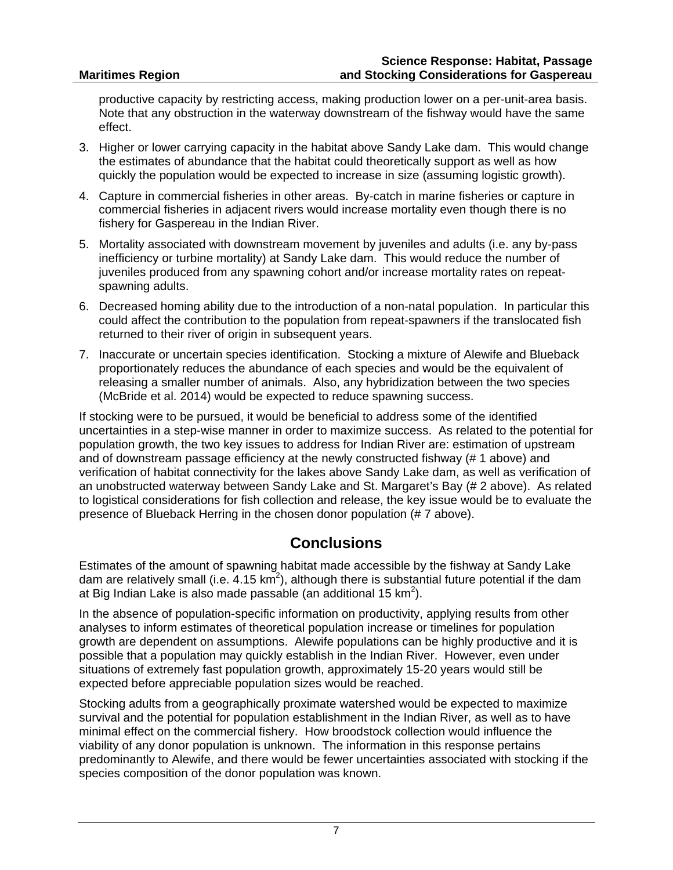productive capacity by restricting access, making production lower on a per-unit-area basis. Note that any obstruction in the waterway downstream of the fishway would have the same effect.

- 3. Higher or lower carrying capacity in the habitat above Sandy Lake dam. This would change the estimates of abundance that the habitat could theoretically support as well as how quickly the population would be expected to increase in size (assuming logistic growth).
- 4. Capture in commercial fisheries in other areas. By-catch in marine fisheries or capture in commercial fisheries in adjacent rivers would increase mortality even though there is no fishery for Gaspereau in the Indian River.
- 5. Mortality associated with downstream movement by juveniles and adults (i.e. any by-pass inefficiency or turbine mortality) at Sandy Lake dam. This would reduce the number of juveniles produced from any spawning cohort and/or increase mortality rates on repeatspawning adults.
- 6. Decreased homing ability due to the introduction of a non-natal population. In particular this could affect the contribution to the population from repeat-spawners if the translocated fish returned to their river of origin in subsequent years.
- 7. Inaccurate or uncertain species identification. Stocking a mixture of Alewife and Blueback proportionately reduces the abundance of each species and would be the equivalent of releasing a smaller number of animals. Also, any hybridization between the two species (McBride et al. 2014) would be expected to reduce spawning success.

If stocking were to be pursued, it would be beneficial to address some of the identified uncertainties in a step-wise manner in order to maximize success. As related to the potential for population growth, the two key issues to address for Indian River are: estimation of upstream and of downstream passage efficiency at the newly constructed fishway (# 1 above) and verification of habitat connectivity for the lakes above Sandy Lake dam, as well as verification of an unobstructed waterway between Sandy Lake and St. Margaret's Bay (# 2 above). As related to logistical considerations for fish collection and release, the key issue would be to evaluate the presence of Blueback Herring in the chosen donor population (# 7 above).

# **Conclusions**

Estimates of the amount of spawning habitat made accessible by the fishway at Sandy Lake dam are relatively small (i.e. 4.15 km<sup>2</sup>), although there is substantial future potential if the dam at Big Indian Lake is also made passable (an additional 15 km<sup>2</sup>).

In the absence of population-specific information on productivity, applying results from other analyses to inform estimates of theoretical population increase or timelines for population growth are dependent on assumptions. Alewife populations can be highly productive and it is possible that a population may quickly establish in the Indian River. However, even under situations of extremely fast population growth, approximately 15-20 years would still be expected before appreciable population sizes would be reached.

Stocking adults from a geographically proximate watershed would be expected to maximize survival and the potential for population establishment in the Indian River, as well as to have minimal effect on the commercial fishery. How broodstock collection would influence the viability of any donor population is unknown. The information in this response pertains predominantly to Alewife, and there would be fewer uncertainties associated with stocking if the species composition of the donor population was known.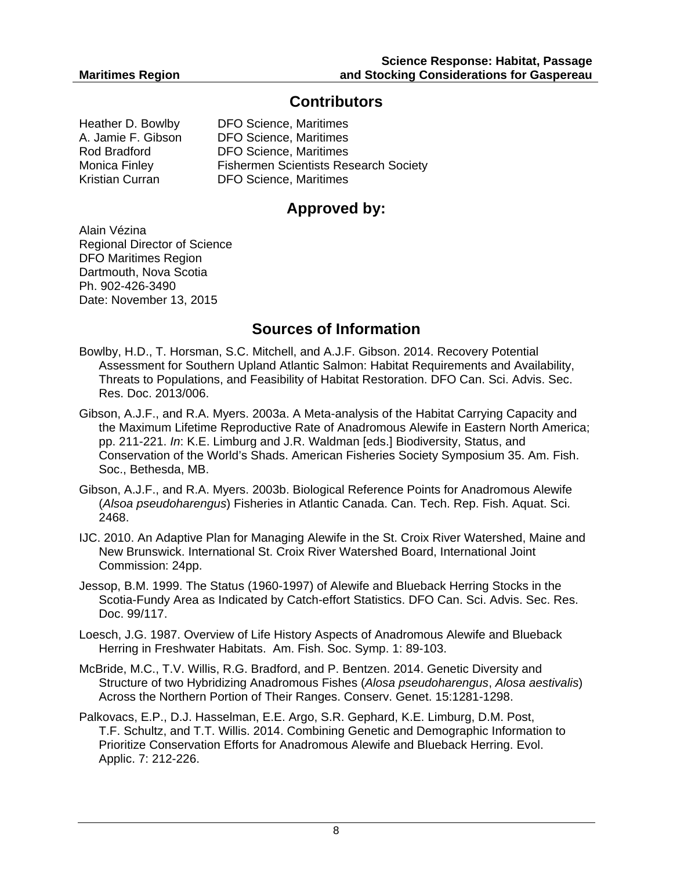## **Contributors**

Heather D. Bowlby DFO Science, Maritimes A. Jamie F. Gibson DFO Science, Maritimes Rod Bradford DFO Science, Maritimes Monica Finley Fishermen Scientists Research Society Kristian Curran DFO Science, Maritimes

# **Approved by:**

Alain Vézina Regional Director of Science DFO Maritimes Region Dartmouth, Nova Scotia Ph. 902-426-3490 Date: November 13, 2015

# **Sources of Information**

- Bowlby, H.D., T. Horsman, S.C. Mitchell, and A.J.F. Gibson. 2014. Recovery Potential Assessment for Southern Upland Atlantic Salmon: Habitat Requirements and Availability, Threats to Populations, and Feasibility of Habitat Restoration. DFO Can. Sci. Advis. Sec. Res. Doc. 2013/006.
- Gibson, A.J.F., and R.A. Myers. 2003a. A Meta-analysis of the Habitat Carrying Capacity and the Maximum Lifetime Reproductive Rate of Anadromous Alewife in Eastern North America; pp. 211-221. *In*: K.E. Limburg and J.R. Waldman [eds.] Biodiversity, Status, and Conservation of the World's Shads. American Fisheries Society Symposium 35. Am. Fish. Soc., Bethesda, MB.
- Gibson, A.J.F., and R.A. Myers. 2003b. Biological Reference Points for Anadromous Alewife (*Alsoa pseudoharengus*) Fisheries in Atlantic Canada. Can. Tech. Rep. Fish. Aquat. Sci. 2468.
- IJC. 2010. An Adaptive Plan for Managing Alewife in the St. Croix River Watershed, Maine and New Brunswick. International St. Croix River Watershed Board, International Joint Commission: 24pp.
- Jessop, B.M. 1999. The Status (1960-1997) of Alewife and Blueback Herring Stocks in the Scotia-Fundy Area as Indicated by Catch-effort Statistics. DFO Can. Sci. Advis. Sec. Res. Doc. 99/117.
- Loesch, J.G. 1987. Overview of Life History Aspects of Anadromous Alewife and Blueback Herring in Freshwater Habitats. Am. Fish. Soc. Symp. 1: 89-103.
- McBride, M.C., T.V. Willis, R.G. Bradford, and P. Bentzen. 2014. Genetic Diversity and Structure of two Hybridizing Anadromous Fishes (*Alosa pseudoharengus*, *Alosa aestivalis*) Across the Northern Portion of Their Ranges. Conserv. Genet. 15:1281-1298.
- Palkovacs, E.P., D.J. Hasselman, E.E. Argo, S.R. Gephard, K.E. Limburg, D.M. Post, T.F. Schultz, and T.T. Willis. 2014. Combining Genetic and Demographic Information to Prioritize Conservation Efforts for Anadromous Alewife and Blueback Herring. Evol. Applic. 7: 212-226.